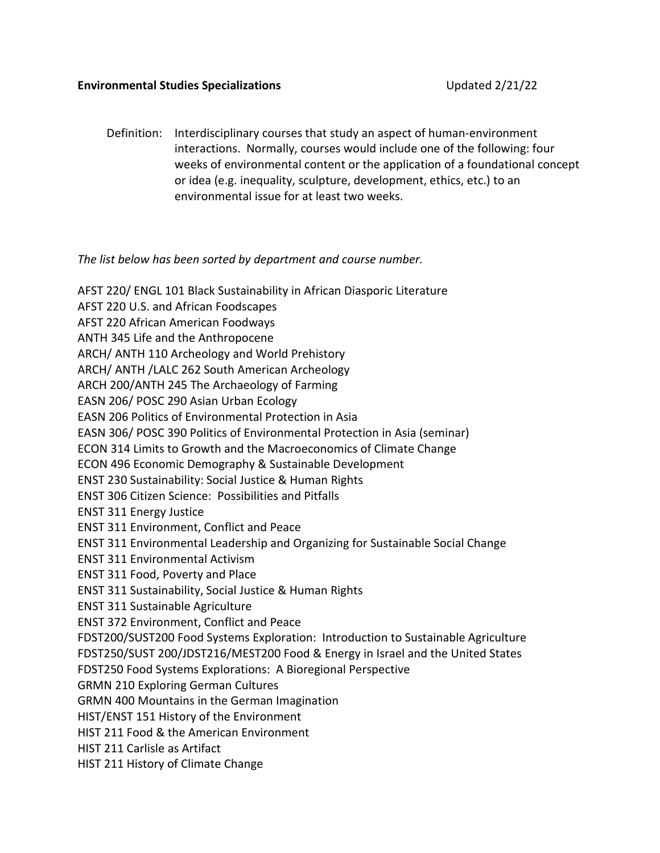## **Environmental Studies Specializations** Updated 2/21/22

Definition: Interdisciplinary courses that study an aspect of human-environment interactions. Normally, courses would include one of the following: four weeks of environmental content or the application of a foundational concept or idea (e.g. inequality, sculpture, development, ethics, etc.) to an environmental issue for at least two weeks.

## *The list below has been sorted by department and course number.*

AFST 220/ ENGL 101 Black Sustainability in African Diasporic Literature AFST 220 U.S. and African Foodscapes AFST 220 African American Foodways ANTH 345 Life and the Anthropocene ARCH/ ANTH 110 Archeology and World Prehistory ARCH/ ANTH /LALC 262 South American Archeology ARCH 200/ANTH 245 The Archaeology of Farming EASN 206/ POSC 290 Asian Urban Ecology EASN 206 Politics of Environmental Protection in Asia EASN 306/ POSC 390 Politics of Environmental Protection in Asia (seminar) ECON 314 Limits to Growth and the Macroeconomics of Climate Change ECON 496 Economic Demography & Sustainable Development ENST 230 Sustainability: Social Justice & Human Rights ENST 306 Citizen Science: Possibilities and Pitfalls ENST 311 Energy Justice ENST 311 Environment, Conflict and Peace ENST 311 Environmental Leadership and Organizing for Sustainable Social Change ENST 311 Environmental Activism ENST 311 Food, Poverty and Place ENST 311 Sustainability, Social Justice & Human Rights ENST 311 Sustainable Agriculture ENST 372 Environment, Conflict and Peace FDST200/SUST200 Food Systems Exploration: Introduction to Sustainable Agriculture FDST250/SUST 200/JDST216/MEST200 Food & Energy in Israel and the United States FDST250 Food Systems Explorations: A Bioregional Perspective GRMN 210 Exploring German Cultures GRMN 400 Mountains in the German Imagination HIST/ENST 151 History of the Environment HIST 211 Food & the American Environment HIST 211 Carlisle as Artifact HIST 211 History of Climate Change